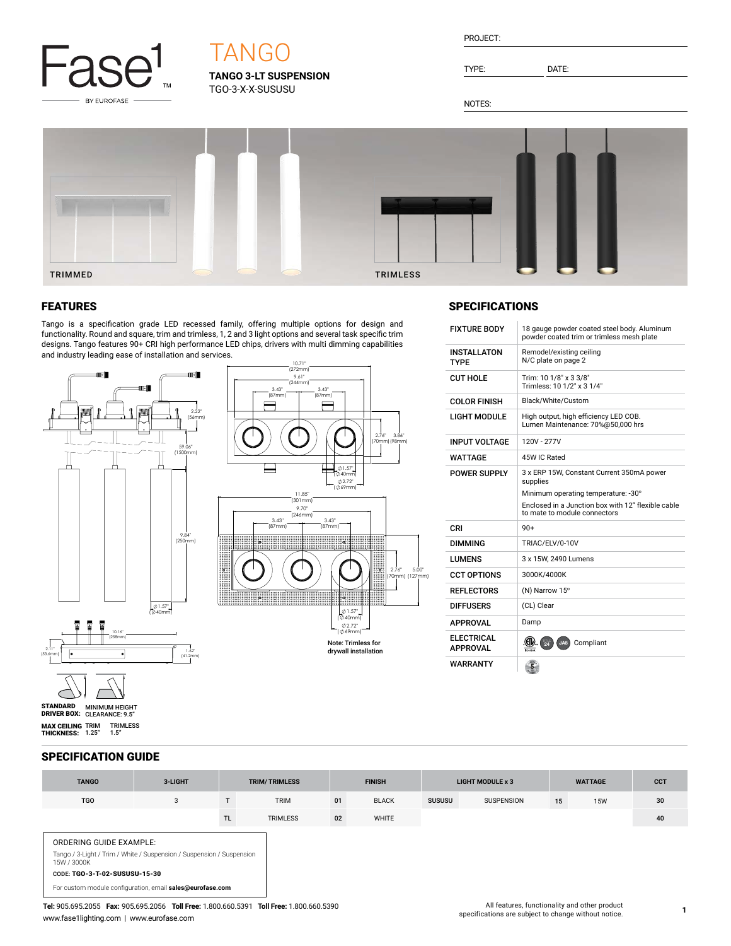

# **TANGO**

**TANGO 3-LT SUSPENSION** TGO-3-X-X-SUSUSU

TYPE: DATE:

NOTES:



## FEATURES

Tango is a specification grade LED recessed family, offering multiple options for design and functionality. Round and square, trim and trimless, 1, 2 and 3 light options and several task specific trim designs. Tango features 90+ CRI high performance LED chips, drivers with multi dimming capabilities and industry leading ease of installation and services.



## **SPECIFICATIONS**

| <b>FIXTURE BODY</b>               | 18 gauge powder coated steel body. Aluminum<br>powder coated trim or trimless mesh plate     |  |  |  |  |  |
|-----------------------------------|----------------------------------------------------------------------------------------------|--|--|--|--|--|
| <b>INSTALLATON</b><br><b>TYPF</b> | Remodel/existing ceiling<br>N/C plate on page 2                                              |  |  |  |  |  |
| CUT HOLF                          | Trim: 10 1/8" x 3 3/8"<br>Trimless: 10 1/2" x 3 1/4"                                         |  |  |  |  |  |
| <b>COLOR FINISH</b>               | Black/White/Custom                                                                           |  |  |  |  |  |
| <b>LIGHT MODULE</b>               | High output, high efficiency LED COB.<br>Lumen Maintenance: 70%@50,000 hrs                   |  |  |  |  |  |
| <b>INPUT VOLTAGE</b>              | 120V - 277V                                                                                  |  |  |  |  |  |
| WATTAGF                           | 45W IC Rated                                                                                 |  |  |  |  |  |
| <b>POWER SUPPLY</b>               | 3 x ERP 15W, Constant Current 350mA power<br>supplies<br>Minimum operating temperature: -30° |  |  |  |  |  |
|                                   | Enclosed in a Junction box with 12" flexible cable                                           |  |  |  |  |  |
| CRI                               | to mate to module connectors<br>$90+$                                                        |  |  |  |  |  |
| DIMMING                           | TRIAC/ELV/0-10V                                                                              |  |  |  |  |  |
| <b>I UMFNS</b>                    | 3 x 15W, 2490 Lumens                                                                         |  |  |  |  |  |
| <b>CCT OPTIONS</b>                | 3000K/4000K                                                                                  |  |  |  |  |  |
| <b>REFLECTORS</b>                 | (N) Narrow 15°                                                                               |  |  |  |  |  |
| <b>DIFFUSERS</b>                  | (CL) Clear                                                                                   |  |  |  |  |  |
| APPROVAL                          | Damp                                                                                         |  |  |  |  |  |
| FI FCTRICAL<br><b>APPROVAL</b>    | $^{711.5}_{24}$<br>JA8<br>Compliant                                                          |  |  |  |  |  |

## SPECIFICATION GUIDE

**MAX CEILING** TRIM TRIMLESS<br>**THICKNESS:** 1.25" 1.5"

| <b>TANGO</b>                                                                                                                                                                                                         | 3-LIGHT | <b>TRIM/TRIMLESS</b> |                 | <b>FINISH</b> |              | <b>LIGHT MODULE x 3</b> |                   | <b>WATTAGE</b> |            | <b>CCT</b> |
|----------------------------------------------------------------------------------------------------------------------------------------------------------------------------------------------------------------------|---------|----------------------|-----------------|---------------|--------------|-------------------------|-------------------|----------------|------------|------------|
| <b>TGO</b>                                                                                                                                                                                                           | 3       |                      | <b>TRIM</b>     | 01            | <b>BLACK</b> | <b>SUSUSU</b>           | <b>SUSPENSION</b> | 15             | <b>15W</b> | 30         |
|                                                                                                                                                                                                                      |         | <b>TL</b>            | <b>TRIMLESS</b> | 02            | WHITE        |                         |                   |                |            | 40         |
| <b>ORDERING GUIDE EXAMPLE:</b><br>Tango / 3-Light / Trim / White / Suspension / Suspension / Suspension<br>15W / 3000K<br>CODE: TGO-3-T-02-SUSUSU-15-30<br>For custom module configuration, email sales@eurofase.com |         |                      |                 |               |              |                         |                   |                |            |            |

**Tel:** 905.695.2055 **Fax:** 905.695.2056 **Toll Free:** 1.800.660.5391 **Toll Free:** 1.800.660.5390 www.fase1lighting.com | www.eurofase.com